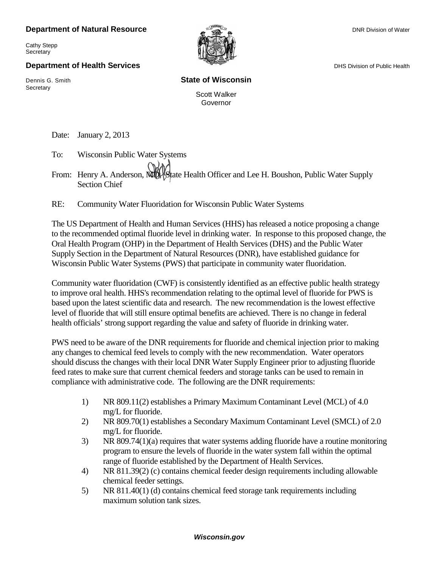## **Department of Natural Resource**  $\overline{\phantom{a}}$  **Department of Natural Resource** DNR Division of Water

Cathy Stepp

## **Department of Health Services Department of Health Services** DHS Division of Public Health

Secretary and the contract of the contract of  $\mathsf{W}^*$   $\mathsf{W}^*$   $\mathsf{W}^*$ 

**Secretary** 

## Dennis G. Smith **State of Wisconsin**

Scott Walker Governor

Date: January 2, 2013

To: Wisconsin Public Water Systems

From: Henry A. Anderson, MUL State Health Officer and Lee H. Boushon, Public Water Supply Section Chief

RE: Community Water Fluoridation for Wisconsin Public Water Systems

The US Department of Health and Human Services (HHS) has released a notice proposing a change to the recommended optimal fluoride level in drinking water. In response to this proposed change, the Oral Health Program (OHP) in the Department of Health Services (DHS) and the Public Water Supply Section in the Department of Natural Resources (DNR), have established guidance for Wisconsin Public Water Systems (PWS) that participate in community water fluoridation.

Community water fluoridation (CWF) is consistently identified as an effective public health strategy to improve oral health. HHS's recommendation relating to the optimal level of fluoride for PWS is based upon the latest scientific data and research. The new recommendation is the lowest effective level of fluoride that will still ensure optimal benefits are achieved. There is no change in federal health officials' strong support regarding the value and safety of fluoride in drinking water.

PWS need to be aware of the DNR requirements for fluoride and chemical injection prior to making any changes to chemical feed levels to comply with the new recommendation. Water operators should discuss the changes with their local DNR Water Supply Engineer prior to adjusting fluoride feed rates to make sure that current chemical feeders and storage tanks can be used to remain in compliance with administrative code. The following are the DNR requirements:

- 1) NR 809.11(2) establishes a Primary Maximum Contaminant Level (MCL) of 4.0 mg/L for fluoride.
- 2) NR 809.70(1) establishes a Secondary Maximum Contaminant Level (SMCL) of 2.0 mg/L for fluoride.
- 3) NR 809.74(1)(a) requires that water systems adding fluoride have a routine monitoring program to ensure the levels of fluoride in the water system fall within the optimal range of fluoride established by the Department of Health Services.
- 4) NR 811.39(2) (c) contains chemical feeder design requirements including allowable chemical feeder settings.
- 5) NR 811.40(1) (d) contains chemical feed storage tank requirements including maximum solution tank sizes.